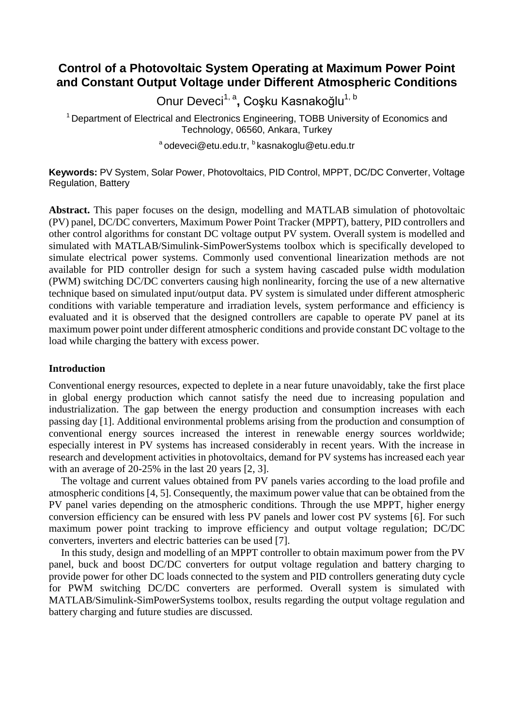# **Control of a Photovoltaic System Operating at Maximum Power Point and Constant Output Voltage under Different Atmospheric Conditions**

Onur Deveci<sup>1, a</sup>, Coşku Kasnakoğlu<sup>1, b</sup>

<sup>1</sup> Department of Electrical and Electronics Engineering, TOBB University of Economics and Technology, 06560, Ankara, Turkey

a odeveci@etu.edu.tr, b kasnakoglu@etu.edu.tr

**Keywords:** PV System, Solar Power, Photovoltaics, PID Control, MPPT, DC/DC Converter, Voltage Regulation, Battery

**Abstract.** This paper focuses on the design, modelling and MATLAB simulation of photovoltaic (PV) panel, DC/DC converters, Maximum Power Point Tracker (MPPT), battery, PID controllers and other control algorithms for constant DC voltage output PV system. Overall system is modelled and simulated with MATLAB/Simulink-SimPowerSystems toolbox which is specifically developed to simulate electrical power systems. Commonly used conventional linearization methods are not available for PID controller design for such a system having cascaded pulse width modulation (PWM) switching DC/DC converters causing high nonlinearity, forcing the use of a new alternative technique based on simulated input/output data. PV system is simulated under different atmospheric conditions with variable temperature and irradiation levels, system performance and efficiency is evaluated and it is observed that the designed controllers are capable to operate PV panel at its maximum power point under different atmospheric conditions and provide constant DC voltage to the load while charging the battery with excess power.

## **Introduction**

Conventional energy resources, expected to deplete in a near future unavoidably, take the first place in global energy production which cannot satisfy the need due to increasing population and industrialization. The gap between the energy production and consumption increases with each passing day [1]. Additional environmental problems arising from the production and consumption of conventional energy sources increased the interest in renewable energy sources worldwide; especially interest in PV systems has increased considerably in recent years. With the increase in research and development activities in photovoltaics, demand for PV systems has increased each year with an average of 20-25% in the last 20 years [2, 3].

The voltage and current values obtained from PV panels varies according to the load profile and atmospheric conditions [4, 5]. Consequently, the maximum power value that can be obtained from the PV panel varies depending on the atmospheric conditions. Through the use MPPT, higher energy conversion efficiency can be ensured with less PV panels and lower cost PV systems [6]. For such maximum power point tracking to improve efficiency and output voltage regulation; DC/DC converters, inverters and electric batteries can be used [7].

In this study, design and modelling of an MPPT controller to obtain maximum power from the PV panel, buck and boost DC/DC converters for output voltage regulation and battery charging to provide power for other DC loads connected to the system and PID controllers generating duty cycle for PWM switching DC/DC converters are performed. Overall system is simulated with MATLAB/Simulink-SimPowerSystems toolbox, results regarding the output voltage regulation and battery charging and future studies are discussed.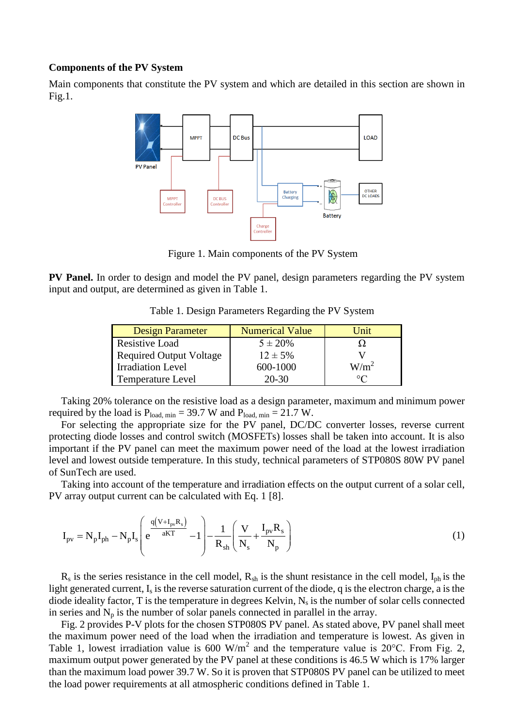### **Components of the PV System**

Main components that constitute the PV system and which are detailed in this section are shown in Fig.1.



Figure 1. Main components of the PV System

**PV Panel.** In order to design and model the PV panel, design parameters regarding the PV system input and output, are determined as given in Table 1.

Table 1. Design Parameters Regarding the PV System

| <b>Design Parameter</b>        | <b>Numerical Value</b> | <b>Unit</b>                |
|--------------------------------|------------------------|----------------------------|
| <b>Resistive Load</b>          | $5 \pm 20\%$           |                            |
| <b>Required Output Voltage</b> | $12 \pm 5\%$           |                            |
| <b>Irradiation Level</b>       | 600-1000               | W/m <sup>2</sup>           |
| <b>Temperature Level</b>       | $20 - 30$              | $\circ$ $\curvearrowright$ |

Taking 20% tolerance on the resistive load as a design parameter, maximum and minimum power required by the load is  $P_{load, min} = 39.7 W$  and  $P_{load, min} = 21.7 W$ .

For selecting the appropriate size for the PV panel, DC/DC converter losses, reverse current protecting diode losses and control switch (MOSFETs) losses shall be taken into account. It is also important if the PV panel can meet the maximum power need of the load at the lowest irradiation level and lowest outside temperature. In this study, technical parameters of STP080S 80W PV panel of SunTech are used.

Taking into account of the temperature and irradiation effects on the output current of a solar cell,

PV array output current can be calculated with Eq. 1 [8].  
\n
$$
I_{pv} = N_p I_{ph} - N_p I_s \left( e^{\frac{q(V + I_{pv} R_s)}{aKT}} - 1 \right) - \frac{1}{R_{sh}} \left( \frac{V}{N_s} + \frac{I_{pv} R_s}{N_p} \right)
$$
\n(1)

 $R_s$  is the series resistance in the cell model,  $R_{sh}$  is the shunt resistance in the cell model,  $I_{ph}$  is the light generated current,  $I_s$  is the reverse saturation current of the diode, q is the electron charge, a is the diode ideality factor, T is the temperature in degrees Kelvin,  $N_s$  is the number of solar cells connected in series and  $N_p$  is the number of solar panels connected in parallel in the array.

Fig. 2 provides P-V plots for the chosen STP080S PV panel. As stated above, PV panel shall meet the maximum power need of the load when the irradiation and temperature is lowest. As given in Table 1, lowest irradiation value is 600 W/m<sup>2</sup> and the temperature value is 20°C. From Fig. 2, maximum output power generated by the PV panel at these conditions is 46.5 W which is 17% larger than the maximum load power 39.7 W. So it is proven that STP080S PV panel can be utilized to meet the load power requirements at all atmospheric conditions defined in Table 1.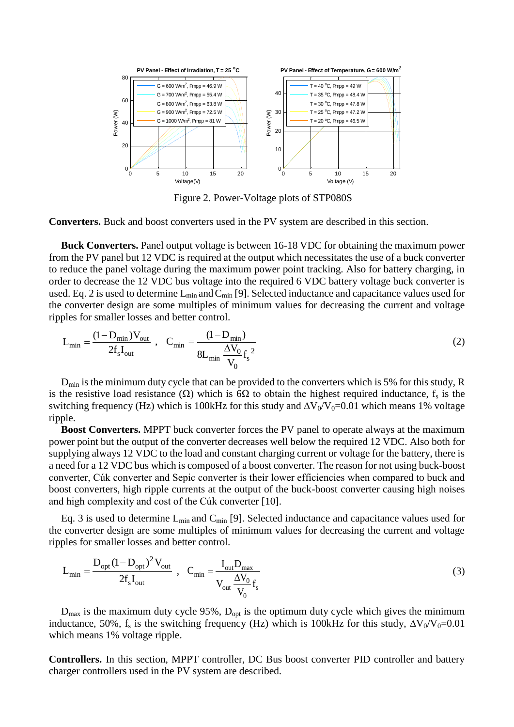

Figure 2. Power-Voltage plots of STP080S

**Converters.** Buck and boost converters used in the PV system are described in this section.

**Buck Converters.** Panel output voltage is between 16-18 VDC for obtaining the maximum power from the PV panel but 12 VDC is required at the output which necessitates the use of a buck converter to reduce the panel voltage during the maximum power point tracking. Also for battery charging, in order to decrease the 12 VDC bus voltage into the required 6 VDC battery voltage buck converter is used. Eq. 2 is used to determine  $L_{min}$  and  $C_{min}$  [9]. Selected inductance and capacitance values used for the converter design are some multiples of minimum values for decreasing the current and voltage ripples for smaller losses and better control.

$$
L_{\min} = \frac{(1 - D_{\min})V_{\text{out}}}{2f_s I_{\text{out}}}, \quad C_{\min} = \frac{(1 - D_{\min})}{8L_{\min} \frac{\Delta V_0}{V_0} f_s^2}
$$
(2)

 $D_{\text{min}}$  is the minimum duty cycle that can be provided to the converters which is 5% for this study, R is the resistive load resistance ( $\Omega$ ) which is 6 $\Omega$  to obtain the highest required inductance, f<sub>s</sub> is the switching frequency (Hz) which is 100kHz for this study and  $\Delta V_0/V_0=0.01$  which means 1% voltage ripple.

**Boost Converters.** MPPT buck converter forces the PV panel to operate always at the maximum power point but the output of the converter decreases well below the required 12 VDC. Also both for supplying always 12 VDC to the load and constant charging current or voltage for the battery, there is a need for a 12 VDC bus which is composed of a boost converter. The reason for not using buck-boost converter, Cúk converter and Sepic converter is their lower efficiencies when compared to buck and boost converters, high ripple currents at the output of the buck-boost converter causing high noises and high complexity and cost of the Cúk converter [10].

Eq. 3 is used to determine  $L_{min}$  and  $C_{min}$  [9]. Selected inductance and capacitance values used for the converter design are some multiples of minimum values for decreasing the current and voltage ripples for smaller losses and better control.

$$
L_{\min} = \frac{D_{\text{opt}} (1 - D_{\text{opt}})^2 V_{\text{out}}}{2 f_s I_{\text{out}}}, \quad C_{\min} = \frac{I_{\text{out}} D_{\max}}{V_{\text{out}} \frac{\Delta V_0}{V_0} f_s}
$$
(3)

 $D_{\text{max}}$  is the maximum duty cycle 95%,  $D_{\text{opt}}$  is the optimum duty cycle which gives the minimum inductance, 50%, f<sub>s</sub> is the switching frequency (Hz) which is 100kHz for this study,  $\Delta V_0/V_0=0.01$ which means 1% voltage ripple.

**Controllers.** In this section, MPPT controller, DC Bus boost converter PID controller and battery charger controllers used in the PV system are described.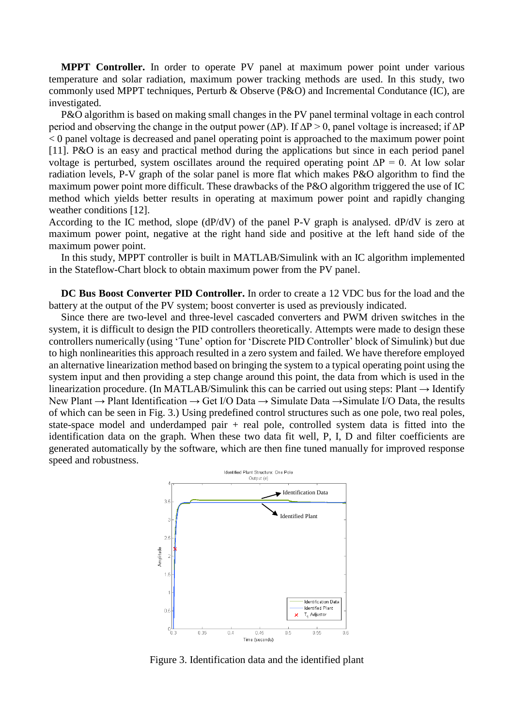**MPPT Controller.** In order to operate PV panel at maximum power point under various temperature and solar radiation, maximum power tracking methods are used. In this study, two commonly used MPPT techniques, Perturb & Observe (P&O) and Incremental Condutance (IC), are investigated.

P&O algorithm is based on making small changes in the PV panel terminal voltage in each control period and observing the change in the output power ( $\Delta P$ ). If  $\Delta P > 0$ , panel voltage is increased; if  $\Delta P$ < 0 panel voltage is decreased and panel operating point is approached to the maximum power point [11]. P&O is an easy and practical method during the applications but since in each period panel voltage is perturbed, system oscillates around the required operating point  $\Delta P = 0$ . At low solar radiation levels, P-V graph of the solar panel is more flat which makes P&O algorithm to find the maximum power point more difficult. These drawbacks of the P&O algorithm triggered the use of IC method which yields better results in operating at maximum power point and rapidly changing weather conditions [12].

According to the IC method, slope (dP/dV) of the panel P-V graph is analysed. dP/dV is zero at maximum power point, negative at the right hand side and positive at the left hand side of the maximum power point.

In this study, MPPT controller is built in MATLAB/Simulink with an IC algorithm implemented in the Stateflow-Chart block to obtain maximum power from the PV panel.

**DC Bus Boost Converter PID Controller.** In order to create a 12 VDC bus for the load and the battery at the output of the PV system; boost converter is used as previously indicated.

Since there are two-level and three-level cascaded converters and PWM driven switches in the system, it is difficult to design the PID controllers theoretically. Attempts were made to design these controllers numerically (using 'Tune' option for 'Discrete PID Controller' block of Simulink) but due to high nonlinearities this approach resulted in a zero system and failed. We have therefore employed an alternative linearization method based on bringing the system to a typical operating point using the system input and then providing a step change around this point, the data from which is used in the linearization procedure. (In MATLAB/Simulink this can be carried out using steps: Plant  $\rightarrow$  Identify New Plant → Plant Identification → Get I/O Data → Simulate Data →Simulate I/O Data, the results of which can be seen in Fig. 3.) Using predefined control structures such as one pole, two real poles, state-space model and underdamped pair + real pole, controlled system data is fitted into the identification data on the graph. When these two data fit well, P, I, D and filter coefficients are generated automatically by the software, which are then fine tuned manually for improved response speed and robustness.



Figure 3. Identification data and the identified plant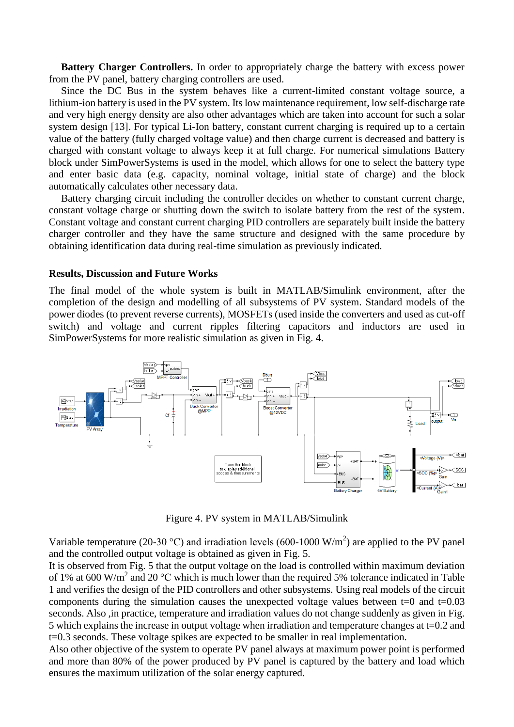**Battery Charger Controllers.** In order to appropriately charge the battery with excess power from the PV panel, battery charging controllers are used.

Since the DC Bus in the system behaves like a current-limited constant voltage source, a lithium-ion battery is used in the PV system. Its low maintenance requirement, low self-discharge rate and very high energy density are also other advantages which are taken into account for such a solar system design [13]. For typical Li-Ion battery, constant current charging is required up to a certain value of the battery (fully charged voltage value) and then charge current is decreased and battery is charged with constant voltage to always keep it at full charge. For numerical simulations Battery block under SimPowerSystems is used in the model, which allows for one to select the battery type and enter basic data (e.g. capacity, nominal voltage, initial state of charge) and the block automatically calculates other necessary data.

Battery charging circuit including the controller decides on whether to constant current charge, constant voltage charge or shutting down the switch to isolate battery from the rest of the system. Constant voltage and constant current charging PID controllers are separately built inside the battery charger controller and they have the same structure and designed with the same procedure by obtaining identification data during real-time simulation as previously indicated.

### **Results, Discussion and Future Works**

The final model of the whole system is built in MATLAB/Simulink environment, after the completion of the design and modelling of all subsystems of PV system. Standard models of the power diodes (to prevent reverse currents), MOSFETs (used inside the converters and used as cut-off switch) and voltage and current ripples filtering capacitors and inductors are used in SimPowerSystems for more realistic simulation as given in Fig. 4.



Figure 4. PV system in MATLAB/Simulink

Variable temperature (20-30 °C) and irradiation levels (600-1000 W/m<sup>2</sup>) are applied to the PV panel and the controlled output voltage is obtained as given in Fig. 5.

It is observed from Fig. 5 that the output voltage on the load is controlled within maximum deviation of 1% at 600 W/m<sup>2</sup> and 20 °C which is much lower than the required 5% tolerance indicated in Table 1 and verifies the design of the PID controllers and other subsystems. Using real models of the circuit components during the simulation causes the unexpected voltage values between  $t=0$  and  $t=0.03$ seconds. Also , in practice, temperature and irradiation values do not change suddenly as given in Fig. 5 which explains the increase in output voltage when irradiation and temperature changes at t=0.2 and t=0.3 seconds. These voltage spikes are expected to be smaller in real implementation.

Also other objective of the system to operate PV panel always at maximum power point is performed and more than 80% of the power produced by PV panel is captured by the battery and load which ensures the maximum utilization of the solar energy captured.